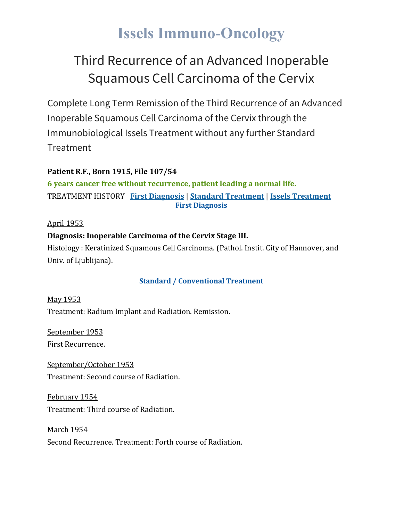## **Issels Immuno-Oncology**

## Third Recurrence of an Advanced Inoperable Squamous Cell Carcinoma of the Cervix

Complete Long Term Remission of the Third Recurrence of an Advanced Inoperable Squamous Cell Carcinoma of the Cervix through the Immunobiological Issels Treatment without any further Standard **Treatment** 

## **Patient R.F., Born 1915, File 107/54**

**6 years cancer free without recurrence, patient leading a normal life.** TREATMENT HISTORY **First [Diagnosis](https://issels.com/cancer-cases/squamous-cell-4-recurring-advanced-inoperable-squamous-cell-cervical-cancer/#First)** | **Standard [Treatment](https://issels.com/cancer-cases/squamous-cell-4-recurring-advanced-inoperable-squamous-cell-cervical-cancer/#Standard)** | **Issels [Treatment](https://issels.com/cancer-cases/squamous-cell-4-recurring-advanced-inoperable-squamous-cell-cervical-cancer/#Issels) First Diagnosis**

## April 1953

## **Diagnosis: Inoperable Carcinoma of the Cervix Stage III.**

Histology : Keratinized Squamous Cell Carcinoma. (Pathol. Instit. City of Hannover, and Univ. of Ljublijana).

## **Standard / Conventional Treatment**

May 1953 Treatment: Radium Implant and Radiation. Remission.

September 1953 First Recurrence.

September/October 1953 Treatment: Second course of Radiation.

February 1954 Treatment: Third course of Radiation.

March 1954 Second Recurrence. Treatment: Forth course of Radiation.